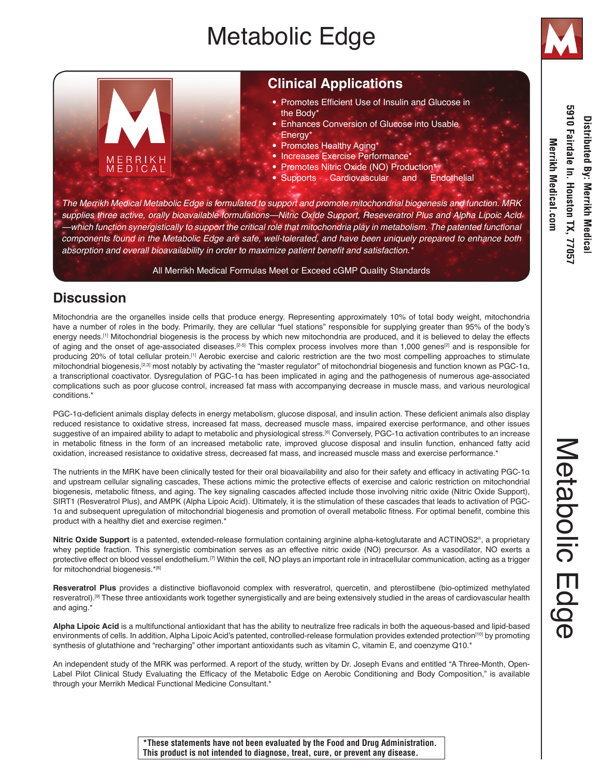# Metabolic Edge



# 5910 Fairdale In. Houston TX, 7705; Distributed By: Merrikh Medical Merrikh Medical com

# **Clinical Applications**

- Promotes Efficient Use of Insulin and Glucose in the Body'
- Enhances Conversion of Glucose into Usable
- Energy\*
- Promotes Healthy Aging\*
- Increases Exercise Performance\*
- Promotes Nitric Oxide (NO) Production\*
- Supports Cardiovascular and Endothelial

*The Merrikh Medical Metabolic Edge is formulated to support and promote mitochondrial biogenesis and function. MRK supplies three active, orally bioavailable formulations—Nitric Oxide Support, Reseveratrol Plus and Alpha Lipoic Acid —which function synergistically to support the critical role that mitochondria play in metabolism. The patented functional components found in the Metabolic Edge are safe, well-tolerated, and have been uniquely prepared to enhance both*  absorption and overall bioavailability in order to maximize patient benefit and satisfaction.\*

### All Merrikh Medical Formulas Meet or Exceed cGMP Quality Standards

# **Discussion**

ERRIKH

Mitochondria are the organelles inside cells that produce energy. Representing approximately 10% of total body weight, mitochondria have a number of roles in the body. Primarily, they are cellular "fuel stations" responsible for supplying greater than 95% of the body's energy needs.<sup>[1]</sup> Mitochondrial biogenesis is the process by which new mitochondria are produced, and it is believed to delay the effects of aging and the onset of age-associated diseases.<sup>[2-5]</sup> This complex process involves more than 1,000 genes<sup>[2]</sup> and is responsible for producing 20% of total cellular protein.[1] Aerobic exercise and caloric restriction are the two most compelling approaches to stimulate mitochondrial biogenesis,[2,3] most notably by activating the "master regulator" of mitochondrial biogenesis and function known as PGC-1α, a transcriptional coactivator. Dysregulation of PGC-1α has been implicated in aging and the pathogenesis of numerous age-associated complications such as poor glucose control, increased fat mass with accompanying decrease in muscle mass, and various neurological conditions.\*

PGC-1α-deficient animals display defects in energy metabolism, glucose disposal, and insulin action. These deficient animals also display reduced resistance to oxidative stress, increased fat mass, decreased muscle mass, impaired exercise performance, and other issues suggestive of an impaired ability to adapt to metabolic and physiological stress.[6] Conversely, PGC-1α activation contributes to an increase in metabolic fitness in the form of an increased metabolic rate, improved glucose disposal and insulin function, enhanced fatty acid oxidation, increased resistance to oxidative stress, decreased fat mass, and increased muscle mass and exercise performance.\*

The nutrients in the MRK have been clinically tested for their oral bioavailability and also for their safety and efficacy in activating PGC-1α and upstream cellular signaling cascades, These actions mimic the protective effects of exercise and caloric restriction on mitochondrial biogenesis, metabolic fitness, and aging. The key signaling cascades affected include those involving nitric oxide (Nitric Oxide Support), SIRT1 (Resveratrol Plus), and AMPK (Alpha Lipoic Acid). Ultimately, it is the stimulation of these cascades that leads to activation of PGC-1α and subsequent upregulation of mitochondrial biogenesis and promotion of overall metabolic fitness. For optimal benefit, combine this product with a healthy diet and exercise regimen.\*

**Nitric Oxide Support** is a patented, extended-release formulation containing arginine alpha-ketoglutarate and ACTINOS2®, a proprietary whey peptide fraction. This synergistic combination serves as an effective nitric oxide (NO) precursor. As a vasodilator, NO exerts a protective effect on blood vessel endothelium.<sup>[7]</sup> Within the cell, NO plays an important role in intracellular communication, acting as a trigger for mitochondrial biogenesis.\*[8]

**Resveratrol Plus** provides a distinctive bioflavonoid complex with resveratrol, quercetin, and pterostilbene (bio-optimized methylated resveratrol).[9] These three antioxidants work together synergistically and are being extensively studied in the areas of cardiovascular health and aging.\*

**Alpha Lipoic Acid** is a multifunctional antioxidant that has the ability to neutralize free radicals in both the aqueous-based and lipid-based environments of cells. In addition, Alpha Lipoic Acid's patented, controlled-release formulation provides extended protection<sup>[10]</sup> by promoting synthesis of glutathione and "recharging" other important antioxidants such as vitamin C, vitamin E, and coenzyme Q10.\*

An independent study of the MRK was performed. A report of the study, written by Dr. Joseph Evans and entitled "A Three-Month, Open-Label Pilot Clinical Study Evaluating the Efficacy of the Metabolic Edge on Aerobic Conditioning and Body Composition," is available through your Merrikh Medical Functional Medicine Consultant.\*

**\*These statements have not been evaluated by the Food and Drug Administration. This product is not intended to diagnose, treat, cure, or prevent any disease.**